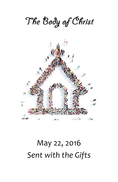

# May 22, 2016 *Sent with the Gifts*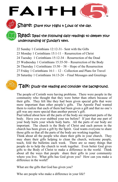Share: Share your Highs + Lows of the day.

FAITH

# $\mathsf{Read} \mathord{:}$  Read the following daily readings to deepen your understanding of Sunday's text.

- 22 Sunday 1 Corinthians 12:12-31– Sent with the Gifts
- 23 Monday 1 Corinthians 15:1-11 Resurrection of Christ
- 24 Tuesday 1 Corinthians 15:12-34 Resurrection of the Dead
- 25 Wednesday 1 Corinthians 15:35-50 Resurrection of the Body
- 26 Thursday 1 Corinthians 15:50 58 Hope of the Resurrection
- 27 Friday 1 Corinthians 16:1 12 Collection and Plans for Travel
- 28 Saturday 1 Corinthians 16:13-24 Final Messages and Greetings



The people of Corinth were having problems. There were people in the community who thought that they were better than others because of their gifts. They felt like they had been given special gifts that were more important than other people's gifts. The Apostle Paul wanted them to realize that each of them had been given a gift and that no one's gift was any more special than another person's gift.

Paul talked about how all the parts of the body are important parts of the body. Have you ever stubbed your toe before? If just that one part of your body hurts your whole body hurts. All the parts of our body are important. The church is the Body of Christ and each person in the church has been given a gift by the Spirit. God wants everyone to share those gifts so that all the parts of the body are working together.

Think about all the people who share their gifts in your church. They may share their gifts helping to clean the church, welcome people, teach, fold the bulletins each week. There are so many things that people do to help the church to work together. Even better God gives gifts to the Body of Christ to make a difference in the world. Think about all the ways that people share their gifts in your community where you live. What gifts has God given you? How can you make a difference in the world?

What are the gifts that God has given you?

Who are people who make a difference in your life?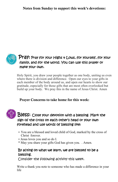Notes from Sunday to support this week's devotions:



# $\mathsf{Pra}\textsf{y:}$  Pray for your Highs 4 Lows, for yourself, for your family, and for the world. You can use this prayer or make your own.

Holy Spirit, you draw your people together as one body, uniting us even where there is division and difference. Open our eyes to your gifts in each member of the body around us, and open our hearts to show our gratitude, especially for those gifts that are most often overlooked but build up your body. We pray this in the name of Jesus Christ. Amen

#### Prayer Concerns to take home for this week:



# Bless: Close your devotion with a blessing. Mark the sign of the cross on each other's head or your own forehead and use words of blessing like:

- You are a blessed and loved child of God, marked by the cross of Christ forever.
- Jesus loves you and so do I.
- \* May you share your gifts God has given you. . Amen.

#### By acting on what we learn, we are blessed to be a blessing.

Consider the following activity this week.

Write a thank you note to someone who has made a difference in your life